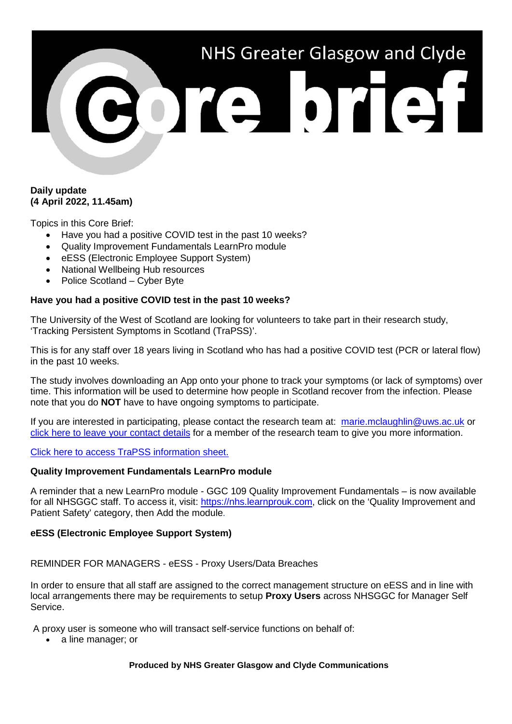# NHS Greater Glasgow and Clyde 301310131

# **Daily update (4 April 2022, 11.45am)**

Topics in this Core Brief:

- Have you had a positive COVID test in the past 10 weeks?
- Quality Improvement Fundamentals LearnPro module
- eESS (Electronic Employee Support System)
- National Wellbeing Hub resources
- Police Scotland Cyber Byte

### **Have you had a positive COVID test in the past 10 weeks?**

The University of the West of Scotland are looking for volunteers to take part in their research study, 'Tracking Persistent Symptoms in Scotland (TraPSS)'.

This is for any staff over 18 years living in Scotland who has had a positive COVID test (PCR or lateral flow) in the past 10 weeks.

The study involves downloading an App onto your phone to track your symptoms (or lack of symptoms) over time. This information will be used to determine how people in Scotland recover from the infection. Please note that you do **NOT** have to have ongoing symptoms to participate.

If you are interested in participating, please contact the research team at: [marie.mclaughlin@uws.ac.uk](mailto:marie.mclaughlin@uws.ac.uk) or [click here to leave your contact details](https://forms.office.com/Pages/ResponsePage.aspx?id=t0SZ-E5Kp06RVjKZ80EWR8KdykZcDW5Mo6Q29lHstpNUQUtMSUVTVU9aNEFYQkRPV09BVEhYNFZOQS4u) for a member of the research team to give you more information.

[Click here to access TraPSS information sheet.](https://www.nhsggc.org.uk/media/271694/trapss-information-sheet.pdf)

### **Quality Improvement Fundamentals LearnPro module**

A reminder that a new LearnPro module - GGC 109 Quality Improvement Fundamentals – is now available for all NHSGGC staff. To access it, visit: [https://nhs.learnprouk.com,](https://nhs.learnprouk.com/) click on the 'Quality Improvement and Patient Safety' category, then Add the module.

### **eESS (Electronic Employee Support System)**

### REMINDER FOR MANAGERS - eESS - Proxy Users/Data Breaches

In order to ensure that all staff are assigned to the correct management structure on eESS and in line with local arrangements there may be requirements to setup **Proxy Users** across NHSGGC for Manager Self Service.

A proxy user is someone who will transact self-service functions on behalf of:

• a line manager; or

#### **Produced by NHS Greater Glasgow and Clyde Communications**